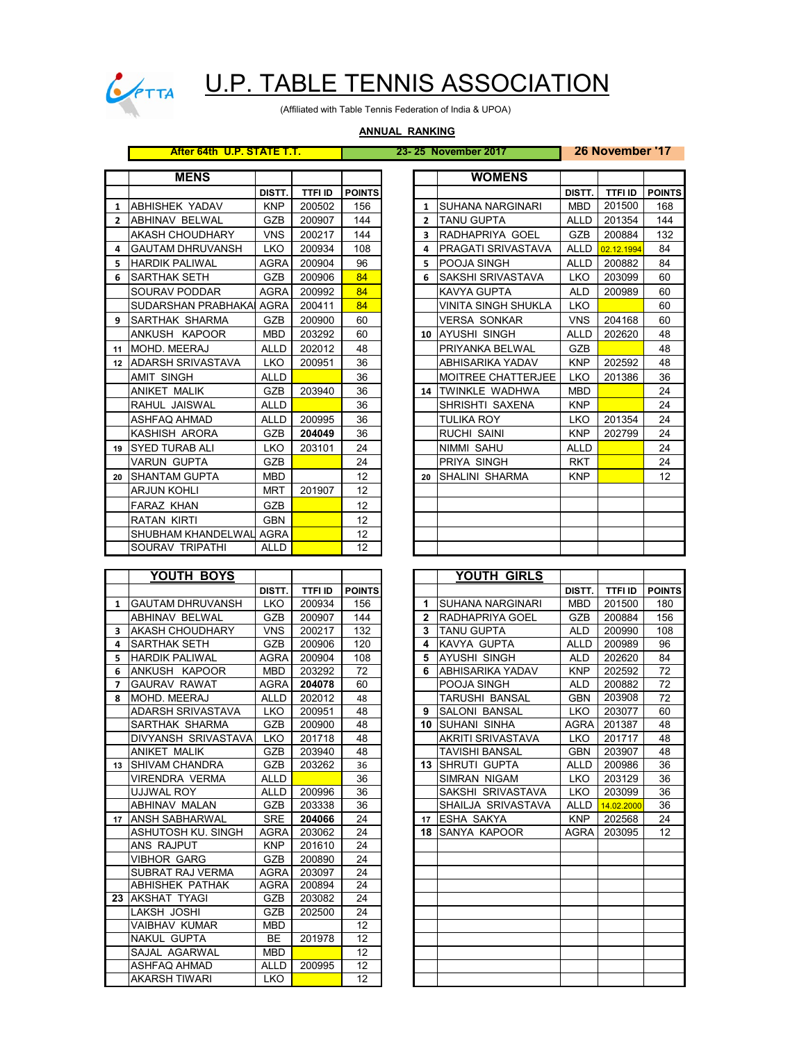

# U.P. TABLE TENNIS ASSOCIATION

(Affiliated with Table Tennis Federation of India & UPOA)

#### **ANNUAL RANKING**

### **After 64th U.P. STATE T.T. 23- 25 November 2017 26 November '17**

| <b>MENS</b><br><b>WOMENS</b><br><b>TTFIID</b><br>DISTT.<br><b>TTFI ID</b><br><b>POINTS</b><br>DISTT.<br>201500<br><b>KNP</b><br>156<br><b>MBD</b><br><b>JABHISHEK YADAV</b><br>200502<br><b>SUHANA NARGINARI</b><br>1<br>1<br><b>JABHINAV BELWAL</b><br><b>GZB</b><br>200907<br><b>TANU GUPTA</b><br>201354<br>144<br>ALLD<br>$\overline{2}$<br>$\overline{2}$<br><b>VNS</b><br>200884<br>AKASH CHOUDHARY<br>200217<br>144<br>$\overline{\mathbf{3}}$<br>RADHAPRIYA GOEL<br>GZB<br><b>GAUTAM DHRUVANSH</b><br><b>LKO</b><br>200934<br>108<br>PRAGATI SRIVASTAVA<br><b>ALLD</b><br>02.12.1994<br>4<br>4<br><b>HARDIK PALIWAL</b><br>200904<br>96<br><b>POOJA SINGH</b><br>200882<br><b>AGRA</b><br>5<br><b>ALLD</b><br>5<br>84<br><b>SARTHAK SETH</b><br><b>GZB</b><br>200906<br><b>SAKSHI SRIVASTAVA</b><br>LKO<br>203099<br>6<br>6<br>84<br>SOURAV PODDAR<br><b>AGRA</b><br>200992<br>200989<br><b>KAVYA GUPTA</b><br><b>ALD</b><br>SUDARSHAN PRABHAKAI AGRA<br>200411<br>84<br>VINITA SINGH SHUKLA<br><b>LKO</b><br><b>ISARTHAK SHARMA</b><br>200900<br>60<br><b>VERSA SONKAR</b><br><b>VNS</b><br>204168<br>GZB<br>9<br>ANKUSH KAPOOR<br><b>MBD</b><br>203292<br>60<br>AYUSHI SINGH<br><b>ALLD</b><br>202620<br>10<br>202012<br>48<br>GZB<br><b>IMOHD, MEERAJ</b><br><b>ALLD</b><br>PRIYANKA BELWAL<br>11<br>12 ADARSH SRIVASTAVA<br>36<br><b>LKO</b><br>200951<br>ABHISARIKA YADAV<br><b>KNP</b><br>202592<br>36<br>201386<br><b>AMIT SINGH</b><br><b>ALLD</b><br>MOITREE CHATTERJEE<br>LKO<br>36<br><b>ANIKET MALIK</b><br><b>GZB</b><br>TWINKLE WADHWA<br><b>MBD</b><br>203940<br>14<br>RAHUL JAISWAL<br><b>ALLD</b><br>36<br>SHRISHTI SAXENA<br><b>KNP</b><br>36<br><b>ALLD</b><br><b>TULIKA ROY</b><br>201354<br>ASHFAQ AHMAD<br>200995<br>LKO<br>36<br>KASHISH ARORA<br><b>RUCHI SAINI</b><br>202799<br><b>GZB</b><br>204049<br><b>KNP</b><br><b>ISYED TURAB ALI</b><br>24<br><b>NIMMI SAHU</b><br><b>LKO</b><br>203101<br><b>ALLD</b><br>19<br>24<br>PRIYA SINGH<br>VARUN GUPTA<br><b>GZB</b><br><b>RKT</b><br>12<br>ISHANTAM GUPTA<br><b>MBD</b><br><b>SHALINI SHARMA</b><br><b>KNP</b><br>20<br>20<br>12<br><b>ARJUN KOHLI</b><br><b>MRT</b><br>201907<br>12<br><b>FARAZ KHAN</b><br><b>GZB</b><br>12<br><b>RATAN KIRTI</b><br><b>GBN</b><br>SHUBHAM KHANDELWAL AGRA<br>12<br>12<br>SOURAV TRIPATHI<br>ALLD |  |  |  |  |  |              |
|-------------------------------------------------------------------------------------------------------------------------------------------------------------------------------------------------------------------------------------------------------------------------------------------------------------------------------------------------------------------------------------------------------------------------------------------------------------------------------------------------------------------------------------------------------------------------------------------------------------------------------------------------------------------------------------------------------------------------------------------------------------------------------------------------------------------------------------------------------------------------------------------------------------------------------------------------------------------------------------------------------------------------------------------------------------------------------------------------------------------------------------------------------------------------------------------------------------------------------------------------------------------------------------------------------------------------------------------------------------------------------------------------------------------------------------------------------------------------------------------------------------------------------------------------------------------------------------------------------------------------------------------------------------------------------------------------------------------------------------------------------------------------------------------------------------------------------------------------------------------------------------------------------------------------------------------------------------------------------------------------------------------------------------------------------------------------------------------------------------------------------------------------------------------------------------------------------------------------------------------------------------------------------------------------------------------------|--|--|--|--|--|--------------|
|                                                                                                                                                                                                                                                                                                                                                                                                                                                                                                                                                                                                                                                                                                                                                                                                                                                                                                                                                                                                                                                                                                                                                                                                                                                                                                                                                                                                                                                                                                                                                                                                                                                                                                                                                                                                                                                                                                                                                                                                                                                                                                                                                                                                                                                                                                                         |  |  |  |  |  |              |
|                                                                                                                                                                                                                                                                                                                                                                                                                                                                                                                                                                                                                                                                                                                                                                                                                                                                                                                                                                                                                                                                                                                                                                                                                                                                                                                                                                                                                                                                                                                                                                                                                                                                                                                                                                                                                                                                                                                                                                                                                                                                                                                                                                                                                                                                                                                         |  |  |  |  |  | <b>POINT</b> |
|                                                                                                                                                                                                                                                                                                                                                                                                                                                                                                                                                                                                                                                                                                                                                                                                                                                                                                                                                                                                                                                                                                                                                                                                                                                                                                                                                                                                                                                                                                                                                                                                                                                                                                                                                                                                                                                                                                                                                                                                                                                                                                                                                                                                                                                                                                                         |  |  |  |  |  | 168          |
|                                                                                                                                                                                                                                                                                                                                                                                                                                                                                                                                                                                                                                                                                                                                                                                                                                                                                                                                                                                                                                                                                                                                                                                                                                                                                                                                                                                                                                                                                                                                                                                                                                                                                                                                                                                                                                                                                                                                                                                                                                                                                                                                                                                                                                                                                                                         |  |  |  |  |  | 144          |
|                                                                                                                                                                                                                                                                                                                                                                                                                                                                                                                                                                                                                                                                                                                                                                                                                                                                                                                                                                                                                                                                                                                                                                                                                                                                                                                                                                                                                                                                                                                                                                                                                                                                                                                                                                                                                                                                                                                                                                                                                                                                                                                                                                                                                                                                                                                         |  |  |  |  |  | 132          |
|                                                                                                                                                                                                                                                                                                                                                                                                                                                                                                                                                                                                                                                                                                                                                                                                                                                                                                                                                                                                                                                                                                                                                                                                                                                                                                                                                                                                                                                                                                                                                                                                                                                                                                                                                                                                                                                                                                                                                                                                                                                                                                                                                                                                                                                                                                                         |  |  |  |  |  | 84           |
|                                                                                                                                                                                                                                                                                                                                                                                                                                                                                                                                                                                                                                                                                                                                                                                                                                                                                                                                                                                                                                                                                                                                                                                                                                                                                                                                                                                                                                                                                                                                                                                                                                                                                                                                                                                                                                                                                                                                                                                                                                                                                                                                                                                                                                                                                                                         |  |  |  |  |  | 84           |
|                                                                                                                                                                                                                                                                                                                                                                                                                                                                                                                                                                                                                                                                                                                                                                                                                                                                                                                                                                                                                                                                                                                                                                                                                                                                                                                                                                                                                                                                                                                                                                                                                                                                                                                                                                                                                                                                                                                                                                                                                                                                                                                                                                                                                                                                                                                         |  |  |  |  |  | 60           |
|                                                                                                                                                                                                                                                                                                                                                                                                                                                                                                                                                                                                                                                                                                                                                                                                                                                                                                                                                                                                                                                                                                                                                                                                                                                                                                                                                                                                                                                                                                                                                                                                                                                                                                                                                                                                                                                                                                                                                                                                                                                                                                                                                                                                                                                                                                                         |  |  |  |  |  | 60           |
|                                                                                                                                                                                                                                                                                                                                                                                                                                                                                                                                                                                                                                                                                                                                                                                                                                                                                                                                                                                                                                                                                                                                                                                                                                                                                                                                                                                                                                                                                                                                                                                                                                                                                                                                                                                                                                                                                                                                                                                                                                                                                                                                                                                                                                                                                                                         |  |  |  |  |  | 60           |
|                                                                                                                                                                                                                                                                                                                                                                                                                                                                                                                                                                                                                                                                                                                                                                                                                                                                                                                                                                                                                                                                                                                                                                                                                                                                                                                                                                                                                                                                                                                                                                                                                                                                                                                                                                                                                                                                                                                                                                                                                                                                                                                                                                                                                                                                                                                         |  |  |  |  |  | 60           |
|                                                                                                                                                                                                                                                                                                                                                                                                                                                                                                                                                                                                                                                                                                                                                                                                                                                                                                                                                                                                                                                                                                                                                                                                                                                                                                                                                                                                                                                                                                                                                                                                                                                                                                                                                                                                                                                                                                                                                                                                                                                                                                                                                                                                                                                                                                                         |  |  |  |  |  | 48           |
|                                                                                                                                                                                                                                                                                                                                                                                                                                                                                                                                                                                                                                                                                                                                                                                                                                                                                                                                                                                                                                                                                                                                                                                                                                                                                                                                                                                                                                                                                                                                                                                                                                                                                                                                                                                                                                                                                                                                                                                                                                                                                                                                                                                                                                                                                                                         |  |  |  |  |  | 48           |
|                                                                                                                                                                                                                                                                                                                                                                                                                                                                                                                                                                                                                                                                                                                                                                                                                                                                                                                                                                                                                                                                                                                                                                                                                                                                                                                                                                                                                                                                                                                                                                                                                                                                                                                                                                                                                                                                                                                                                                                                                                                                                                                                                                                                                                                                                                                         |  |  |  |  |  | 48           |
|                                                                                                                                                                                                                                                                                                                                                                                                                                                                                                                                                                                                                                                                                                                                                                                                                                                                                                                                                                                                                                                                                                                                                                                                                                                                                                                                                                                                                                                                                                                                                                                                                                                                                                                                                                                                                                                                                                                                                                                                                                                                                                                                                                                                                                                                                                                         |  |  |  |  |  | 36           |
|                                                                                                                                                                                                                                                                                                                                                                                                                                                                                                                                                                                                                                                                                                                                                                                                                                                                                                                                                                                                                                                                                                                                                                                                                                                                                                                                                                                                                                                                                                                                                                                                                                                                                                                                                                                                                                                                                                                                                                                                                                                                                                                                                                                                                                                                                                                         |  |  |  |  |  | 24           |
|                                                                                                                                                                                                                                                                                                                                                                                                                                                                                                                                                                                                                                                                                                                                                                                                                                                                                                                                                                                                                                                                                                                                                                                                                                                                                                                                                                                                                                                                                                                                                                                                                                                                                                                                                                                                                                                                                                                                                                                                                                                                                                                                                                                                                                                                                                                         |  |  |  |  |  | 24           |
|                                                                                                                                                                                                                                                                                                                                                                                                                                                                                                                                                                                                                                                                                                                                                                                                                                                                                                                                                                                                                                                                                                                                                                                                                                                                                                                                                                                                                                                                                                                                                                                                                                                                                                                                                                                                                                                                                                                                                                                                                                                                                                                                                                                                                                                                                                                         |  |  |  |  |  | 24           |
|                                                                                                                                                                                                                                                                                                                                                                                                                                                                                                                                                                                                                                                                                                                                                                                                                                                                                                                                                                                                                                                                                                                                                                                                                                                                                                                                                                                                                                                                                                                                                                                                                                                                                                                                                                                                                                                                                                                                                                                                                                                                                                                                                                                                                                                                                                                         |  |  |  |  |  | 24           |
|                                                                                                                                                                                                                                                                                                                                                                                                                                                                                                                                                                                                                                                                                                                                                                                                                                                                                                                                                                                                                                                                                                                                                                                                                                                                                                                                                                                                                                                                                                                                                                                                                                                                                                                                                                                                                                                                                                                                                                                                                                                                                                                                                                                                                                                                                                                         |  |  |  |  |  | 24           |
|                                                                                                                                                                                                                                                                                                                                                                                                                                                                                                                                                                                                                                                                                                                                                                                                                                                                                                                                                                                                                                                                                                                                                                                                                                                                                                                                                                                                                                                                                                                                                                                                                                                                                                                                                                                                                                                                                                                                                                                                                                                                                                                                                                                                                                                                                                                         |  |  |  |  |  | 24           |
|                                                                                                                                                                                                                                                                                                                                                                                                                                                                                                                                                                                                                                                                                                                                                                                                                                                                                                                                                                                                                                                                                                                                                                                                                                                                                                                                                                                                                                                                                                                                                                                                                                                                                                                                                                                                                                                                                                                                                                                                                                                                                                                                                                                                                                                                                                                         |  |  |  |  |  | 12           |
|                                                                                                                                                                                                                                                                                                                                                                                                                                                                                                                                                                                                                                                                                                                                                                                                                                                                                                                                                                                                                                                                                                                                                                                                                                                                                                                                                                                                                                                                                                                                                                                                                                                                                                                                                                                                                                                                                                                                                                                                                                                                                                                                                                                                                                                                                                                         |  |  |  |  |  |              |
|                                                                                                                                                                                                                                                                                                                                                                                                                                                                                                                                                                                                                                                                                                                                                                                                                                                                                                                                                                                                                                                                                                                                                                                                                                                                                                                                                                                                                                                                                                                                                                                                                                                                                                                                                                                                                                                                                                                                                                                                                                                                                                                                                                                                                                                                                                                         |  |  |  |  |  |              |
|                                                                                                                                                                                                                                                                                                                                                                                                                                                                                                                                                                                                                                                                                                                                                                                                                                                                                                                                                                                                                                                                                                                                                                                                                                                                                                                                                                                                                                                                                                                                                                                                                                                                                                                                                                                                                                                                                                                                                                                                                                                                                                                                                                                                                                                                                                                         |  |  |  |  |  |              |
|                                                                                                                                                                                                                                                                                                                                                                                                                                                                                                                                                                                                                                                                                                                                                                                                                                                                                                                                                                                                                                                                                                                                                                                                                                                                                                                                                                                                                                                                                                                                                                                                                                                                                                                                                                                                                                                                                                                                                                                                                                                                                                                                                                                                                                                                                                                         |  |  |  |  |  |              |
|                                                                                                                                                                                                                                                                                                                                                                                                                                                                                                                                                                                                                                                                                                                                                                                                                                                                                                                                                                                                                                                                                                                                                                                                                                                                                                                                                                                                                                                                                                                                                                                                                                                                                                                                                                                                                                                                                                                                                                                                                                                                                                                                                                                                                                                                                                                         |  |  |  |  |  |              |

|    | YOUTH BOYS                |             |                |               |                | YOUTH GIRLS              |             |                |              |
|----|---------------------------|-------------|----------------|---------------|----------------|--------------------------|-------------|----------------|--------------|
|    |                           | DISTT.      | <b>TTFI ID</b> | <b>POINTS</b> |                |                          | DISTT.      | <b>TTFI ID</b> | <b>POINT</b> |
| 1  | <b>GAUTAM DHRUVANSH</b>   | <b>LKO</b>  | 200934         | 156           | 1.             | <b>SUHANA NARGINARI</b>  | <b>MBD</b>  | 201500         | 180          |
|    | <b>ABHINAV BELWAL</b>     | <b>GZB</b>  | 200907         | 144           | $\overline{2}$ | RADHAPRIYA GOEL          | <b>GZB</b>  | 200884         | 156          |
| 3  | <b>AKASH CHOUDHARY</b>    | <b>VNS</b>  | 200217         | 132           | 3              | <b>TANU GUPTA</b>        | <b>ALD</b>  | 200990         | 108          |
| 4  | <b>SARTHAK SETH</b>       | <b>GZB</b>  | 200906         | 120           | 4              | KAVYA GUPTA              | <b>ALLD</b> | 200989         | 96           |
| 5  | <b>HARDIK PALIWAL</b>     | AGRA        | 200904         | 108           | 5              | AYUSHI SINGH             | <b>ALD</b>  | 202620         | 84           |
| 6  | ANKUSH KAPOOR             | <b>MBD</b>  | 203292         | 72            | 6              | ABHISARIKA YADAV         | <b>KNP</b>  | 202592         | 72           |
| 7  | <b>GAURAV RAWAT</b>       | <b>AGRA</b> | 204078         | 60            |                | POOJA SINGH              | <b>ALD</b>  | 200882         | 72           |
| 8  | MOHD, MEERAJ              | <b>ALLD</b> | 202012         | 48            |                | <b>TARUSHI BANSAL</b>    | <b>GBN</b>  | 203908         | 72           |
|    | ADARSH SRIVASTAVA         | <b>LKO</b>  | 200951         | 48            | 9              | <b>SALONI BANSAL</b>     | <b>LKO</b>  | 203077         | 60           |
|    | SARTHAK SHARMA            | <b>GZB</b>  | 200900         | 48            | 10             | <b>SUHANI SINHA</b>      | <b>AGRA</b> | 201387         | 48           |
|    | DIVYANSH SRIVASTAVA       | <b>LKO</b>  | 201718         | 48            |                | <b>AKRITI SRIVASTAVA</b> | <b>LKO</b>  | 201717         | 48           |
|    | <b>ANIKET MALIK</b>       | <b>GZB</b>  | 203940         | 48            |                | <b>TAVISHI BANSAL</b>    | <b>GBN</b>  | 203907         | 48           |
| 13 | <b>SHIVAM CHANDRA</b>     | GZB         | 203262         | 36            | 13             | <b>ISHRUTI GUPTA</b>     | <b>ALLD</b> | 200986         | 36           |
|    | <b>VIRENDRA VERMA</b>     | <b>ALLD</b> |                | 36            |                | <b>SIMRAN NIGAM</b>      | <b>LKO</b>  | 203129         | $36\,$       |
|    | UJJWAL ROY                | <b>ALLD</b> | 200996         | 36            |                | SAKSHI SRIVASTAVA        | <b>LKO</b>  | 203099         | 36           |
|    | <b>ABHINAV MALAN</b>      | <b>GZB</b>  | 203338         | 36            |                | SHAILJA SRIVASTAVA       | <b>ALLD</b> | 14.02.2000     | 36           |
| 17 | <b>ANSH SABHARWAL</b>     | <b>SRE</b>  | 204066         | 24            | 17             | <b>ESHA SAKYA</b>        | <b>KNP</b>  | 202568         | 24           |
|    | <b>ASHUTOSH KU, SINGH</b> | <b>AGRA</b> | 203062         | 24            | 18             | SANYA KAPOOR             | <b>AGRA</b> | 203095         | 12           |
|    | ANS RAJPUT                | <b>KNP</b>  | 201610         | 24            |                |                          |             |                |              |
|    | <b>VIBHOR GARG</b>        | <b>GZB</b>  | 200890         | 24            |                |                          |             |                |              |
|    | SUBRAT RAJ VERMA          | <b>AGRA</b> | 203097         | 24            |                |                          |             |                |              |
|    | <b>ABHISHEK PATHAK</b>    | <b>AGRA</b> | 200894         | 24            |                |                          |             |                |              |
| 23 | <b>AKSHAT TYAGI</b>       | <b>GZB</b>  | 203082         | 24            |                |                          |             |                |              |
|    | LAKSH JOSHI               | <b>GZB</b>  | 202500         | 24            |                |                          |             |                |              |
|    | <b>VAIBHAV KUMAR</b>      | <b>MBD</b>  |                | 12            |                |                          |             |                |              |
|    | <b>NAKUL GUPTA</b>        | <b>BE</b>   | 201978         | 12            |                |                          |             |                |              |
|    | SAJAL AGARWAL             | <b>MBD</b>  |                | 12            |                |                          |             |                |              |
|    | <b>ASHFAQ AHMAD</b>       | <b>ALLD</b> | 200995         | 12            |                |                          |             |                |              |
|    | <b>AKARSH TIWARI</b>      | <b>LKO</b>  |                | 12            |                |                          |             |                |              |

| <b>MENS</b>         |             |                |               |                         | <b>WOMENS</b>              |             |                |               |
|---------------------|-------------|----------------|---------------|-------------------------|----------------------------|-------------|----------------|---------------|
|                     | DISTT.      | <b>TTFI ID</b> | <b>POINTS</b> |                         |                            | DISTT.      | <b>TTFI ID</b> | <b>POINTS</b> |
| ABHISHEK YADAV      | <b>KNP</b>  | 200502         | 156           | 1                       | ISUHANA NARGINARI          | <b>MBD</b>  | 201500         |               |
| ABHINAV BELWAL      | <b>GZB</b>  | 200907         | 144           | $\overline{\mathbf{z}}$ | <b>TANU GUPTA</b>          | <b>ALLD</b> | 201354         |               |
| AKASH CHOUDHARY     | <b>VNS</b>  | 200217         | 144           | 3                       | RADHAPRIYA GOEL            | GZB         | 200884         |               |
| GAUTAM DHRUVANSH    | <b>LKO</b>  | 200934         | 108           | 4                       | PRAGATI SRIVASTAVA         | <b>ALLD</b> | 02.12.1994     |               |
| HARDIK PALIWAL      | <b>AGRA</b> | 200904         | 96            | 5                       | POOJA SINGH                | ALLD        | 200882         |               |
| SARTHAK SETH        | <b>GZB</b>  | 200906         | 84            | 6                       | SAKSHI SRIVASTAVA          | LKO         | 203099         |               |
| SOURAV PODDAR       | <b>AGRA</b> | 200992         | 84            |                         | <b>KAVYA GUPTA</b>         | <b>ALD</b>  | 200989         |               |
| SUDARSHAN PRABHAKAI | AGRA        | 200411         | 84            |                         | <b>VINITA SINGH SHUKLA</b> | LKO         |                |               |
| SARTHAK SHARMA      | <b>GZB</b>  | 200900         | 60            |                         | <b>VERSA SONKAR</b>        | <b>VNS</b>  | 204168         |               |
| ANKUSH KAPOOR       | <b>MBD</b>  | 203292         | 60            |                         | 10 AYUSHI SINGH            | <b>ALLD</b> | 202620         |               |
| MOHD. MEERAJ        | <b>ALLD</b> | 202012         | 48            |                         | PRIYANKA BELWAL            | GZB         |                |               |
| ADARSH SRIVASTAVA   | <b>LKO</b>  | 200951         | 36            |                         | ABHISARIKA YADAV           | <b>KNP</b>  | 202592         |               |
| AMIT SINGH          | ALLD        |                | 36            |                         | <b>MOITREE CHATTERJEE</b>  | LKO         | 201386         |               |
| ANIKET MALIK        | <b>GZB</b>  | 203940         | 36            |                         | 14 TWINKLE WADHWA          | <b>MBD</b>  |                |               |
| RAHUL JAISWAL       | <b>ALLD</b> |                | 36            |                         | SHRISHTI SAXENA            | <b>KNP</b>  |                |               |
| ASHFAQ AHMAD        | ALLD        | 200995         | 36            |                         | TULIKA ROY                 | LKO         | 201354         |               |
| KASHISH ARORA       | <b>GZB</b>  | 204049         | 36            |                         | <b>RUCHI SAINI</b>         | <b>KNP</b>  | 202799         |               |
| SYED TURAB ALI      | <b>LKO</b>  | 203101         | 24            |                         | NIMMI SAHU                 | <b>ALLD</b> |                |               |
| VARUN GUPTA         | <b>GZB</b>  |                | 24            |                         | PRIYA SINGH                | <b>RKT</b>  |                |               |
| SHANTAM GUPTA       | <b>MBD</b>  |                | 12            | 20                      | ISHALINI SHARMA            | <b>KNP</b>  |                |               |
| ARJUN KOHLI         | MRT         | 201907         | 12            |                         |                            |             |                |               |
| FARAZ KHAN          | GZB         |                | 12            |                         |                            |             |                |               |
| RATAN KIRTI         | <b>GBN</b>  |                | 12            |                         |                            |             |                |               |
| SHUBHAM KHANDELWAL  | AGRA        |                | 12            |                         |                            |             |                |               |
| SOURAV TRIPATHI     | <b>ALLD</b> |                | 12            |                         |                            |             |                |               |

| YOUTH BOYS            |             |                |               |              | YOUTH GIRLS              |             |                |               |
|-----------------------|-------------|----------------|---------------|--------------|--------------------------|-------------|----------------|---------------|
|                       | DISTT.      | <b>TTFI ID</b> | <b>POINTS</b> |              |                          | DISTT.      | <b>TTFI ID</b> | <b>POINTS</b> |
| GAUTAM DHRUVANSH      | <b>LKO</b>  | 200934         | 156           | 1            | <b>SUHANA NARGINARI</b>  | <b>MBD</b>  | 201500         | 180           |
| ABHINAV BELWAL        | GZB         | 200907         | 144           | $\mathbf{2}$ | RADHAPRIYA GOEL          | GZB         | 200884         | 156           |
| AKASH CHOUDHARY       | <b>VNS</b>  | 200217         | 132           | 3            | <b>TANU GUPTA</b>        | <b>ALD</b>  | 200990         | 108           |
| SARTHAK SETH          | <b>GZB</b>  | 200906         | 120           | 4            | <b>KAVYA GUPTA</b>       | <b>ALLD</b> | 200989         | 96            |
| <b>HARDIK PALIWAL</b> | <b>AGRA</b> | 200904         | 108           | 5            | <b>AYUSHI SINGH</b>      | <b>ALD</b>  | 202620         | 84            |
| ANKUSH KAPOOR         | <b>MBD</b>  | 203292         | 72            | 6            | ABHISARIKA YADAV         | <b>KNP</b>  | 202592         | 72            |
| <b>GAURAV RAWAT</b>   | <b>AGRA</b> | 204078         | 60            |              | POOJA SINGH              | <b>ALD</b>  | 200882         | 72            |
| MOHD. MEERAJ          | <b>ALLD</b> | 202012         | 48            |              | <b>TARUSHI BANSAL</b>    | <b>GBN</b>  | 203908         | 72            |
| ADARSH SRIVASTAVA     | <b>LKO</b>  | 200951         | 48            | 9            | <b>SALONI BANSAL</b>     | <b>LKO</b>  | 203077         | 60            |
| SARTHAK SHARMA        | <b>GZB</b>  | 200900         | 48            | 10           | <b>ISUHANI SINHA</b>     | <b>AGRA</b> | 201387         | 48            |
| DIVYANSH SRIVASTAVA   | <b>LKO</b>  | 201718         | 48            |              | <b>AKRITI SRIVASTAVA</b> | <b>LKO</b>  | 201717         | 48            |
| ANIKET MALIK          | <b>GZB</b>  | 203940         | 48            |              | <b>TAVISHI BANSAL</b>    | <b>GBN</b>  | 203907         | 48            |
| <b>SHIVAM CHANDRA</b> | GZB         | 203262         | 36            | 13           | <b>ISHRUTI GUPTA</b>     | <b>ALLD</b> | 200986         | 36            |
| VIRENDRA VERMA        | <b>ALLD</b> |                | 36            |              | SIMRAN NIGAM             | <b>LKO</b>  | 203129         | 36            |
| UJJWAL ROY            | <b>ALLD</b> | 200996         | 36            |              | SAKSHI SRIVASTAVA        | <b>LKO</b>  | 203099         | 36            |
| ABHINAV MALAN         | <b>GZB</b>  | 203338         | 36            |              | SHAILJA SRIVASTAVA       | <b>ALLD</b> | 14.02.2000     | 36            |
| ANSH SABHARWAL        | <b>SRE</b>  | 204066         | 24            | 17           | <b>ESHA SAKYA</b>        | <b>KNP</b>  | 202568         | 24            |
| ASHUTOSH KU. SINGH    | <b>AGRA</b> | 203062         | 24            | 18           | SANYA KAPOOR             | <b>AGRA</b> | 203095         | 12            |
| ANS RAJPUT            | <b>KNP</b>  | 201610         | 24            |              |                          |             |                |               |
| VIBHOR GARG           | <b>GZB</b>  | 200890         | 24            |              |                          |             |                |               |
| SUBRAT RAJ VERMA      | <b>AGRA</b> | 203097         | 24            |              |                          |             |                |               |
| ABHISHEK PATHAK       | <b>AGRA</b> | 200894         | 24            |              |                          |             |                |               |
| AKSHAT TYAGI          | <b>GZB</b>  | 203082         | 24            |              |                          |             |                |               |
| LAKSH JOSHI           | <b>GZB</b>  | 202500         | 24            |              |                          |             |                |               |
| VAIBHAV KUMAR         | <b>MBD</b>  |                | 12            |              |                          |             |                |               |
| NAKUL GUPTA           | <b>BE</b>   | 201978         | 12            |              |                          |             |                |               |
| SAJAL AGARWAL         | <b>MBD</b>  |                | 12            |              |                          |             |                |               |
| ASHFAQ AHMAD          | <b>ALLD</b> | 200995         | 12            |              |                          |             |                |               |
| AKARSH TIWARI         | LKO.        |                | 12            |              |                          |             |                |               |